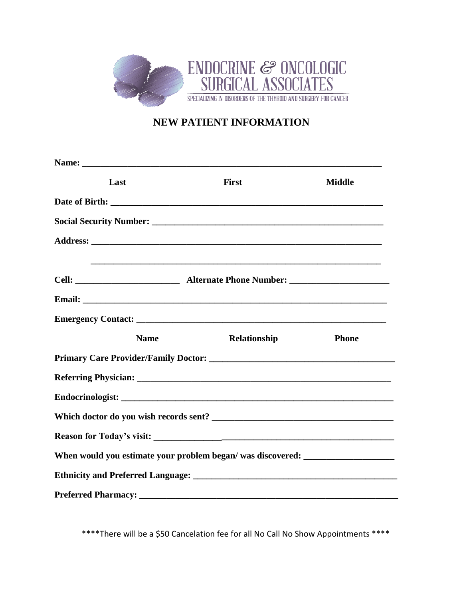

# **NEW PATIENT INFORMATION**

| Last                                                                             | <b>First</b>                                                                     | <b>Middle</b> |  |
|----------------------------------------------------------------------------------|----------------------------------------------------------------------------------|---------------|--|
|                                                                                  |                                                                                  |               |  |
|                                                                                  |                                                                                  |               |  |
|                                                                                  |                                                                                  |               |  |
|                                                                                  | ,我们也不会有什么。""我们的人,我们也不会有什么?""我们的人,我们也不会有什么?""我们的人,我们也不会有什么?""我们的人,我们也不会有什么?""我们的人 |               |  |
|                                                                                  |                                                                                  |               |  |
|                                                                                  |                                                                                  |               |  |
|                                                                                  |                                                                                  |               |  |
| <b>Name</b>                                                                      | Relationship                                                                     | <b>Phone</b>  |  |
|                                                                                  |                                                                                  |               |  |
|                                                                                  |                                                                                  |               |  |
|                                                                                  |                                                                                  |               |  |
| Which doctor do you wish records sent?                                           |                                                                                  |               |  |
|                                                                                  |                                                                                  |               |  |
| When would you estimate your problem began/ was discovered: ____________________ |                                                                                  |               |  |
|                                                                                  |                                                                                  |               |  |
|                                                                                  |                                                                                  |               |  |

\*\*\*\*There will be a \$50 Cancelation fee for all No Call No Show Appointments \*\*\*\*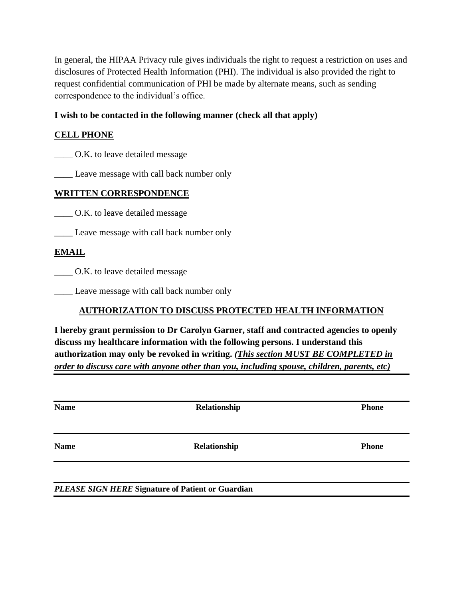In general, the HIPAA Privacy rule gives individuals the right to request a restriction on uses and disclosures of Protected Health Information (PHI). The individual is also provided the right to request confidential communication of PHI be made by alternate means, such as sending correspondence to the individual's office.

### **I wish to be contacted in the following manner (check all that apply)**

### **CELL PHONE**

\_\_\_\_ O.K. to leave detailed message

Leave message with call back number only

### **WRITTEN CORRESPONDENCE**

\_\_\_\_ O.K. to leave detailed message

\_\_\_\_ Leave message with call back number only

### **EMAIL**

\_\_\_\_ O.K. to leave detailed message

\_\_\_\_ Leave message with call back number only

### **AUTHORIZATION TO DISCUSS PROTECTED HEALTH INFORMATION**

**I hereby grant permission to Dr Carolyn Garner, staff and contracted agencies to openly discuss my healthcare information with the following persons. I understand this authorization may only be revoked in writing.** *(This section MUST BE COMPLETED in order to discuss care with anyone other than you, including spouse, children, parents, etc)*

| <b>Name</b> | Relationship | <b>Phone</b> |
|-------------|--------------|--------------|
| <b>Name</b> | Relationship | <b>Phone</b> |
|             |              |              |

*PLEASE SIGN HERE* **Signature of Patient or Guardian**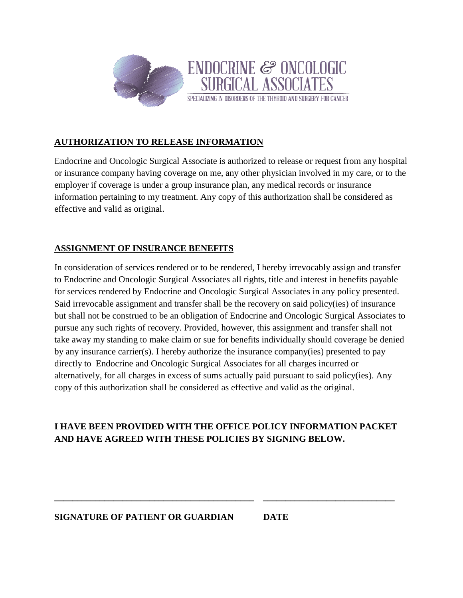

# **AUTHORIZATION TO RELEASE INFORMATION**

Endocrine and Oncologic Surgical Associate is authorized to release or request from any hospital or insurance company having coverage on me, any other physician involved in my care, or to the employer if coverage is under a group insurance plan, any medical records or insurance information pertaining to my treatment. Any copy of this authorization shall be considered as effective and valid as original.

### **ASSIGNMENT OF INSURANCE BENEFITS**

In consideration of services rendered or to be rendered, I hereby irrevocably assign and transfer to Endocrine and Oncologic Surgical Associates all rights, title and interest in benefits payable for services rendered by Endocrine and Oncologic Surgical Associates in any policy presented. Said irrevocable assignment and transfer shall be the recovery on said policy(ies) of insurance but shall not be construed to be an obligation of Endocrine and Oncologic Surgical Associates to pursue any such rights of recovery. Provided, however, this assignment and transfer shall not take away my standing to make claim or sue for benefits individually should coverage be denied by any insurance carrier(s). I hereby authorize the insurance company(ies) presented to pay directly to Endocrine and Oncologic Surgical Associates for all charges incurred or alternatively, for all charges in excess of sums actually paid pursuant to said policy(ies). Any copy of this authorization shall be considered as effective and valid as the original.

# **I HAVE BEEN PROVIDED WITH THE OFFICE POLICY INFORMATION PACKET AND HAVE AGREED WITH THESE POLICIES BY SIGNING BELOW.**

**\_\_\_\_\_\_\_\_\_\_\_\_\_\_\_\_\_\_\_\_\_\_\_\_\_\_\_\_\_\_\_\_\_\_\_\_\_\_\_\_\_\_\_\_ \_\_\_\_\_\_\_\_\_\_\_\_\_\_\_\_\_\_\_\_\_\_\_\_\_\_\_\_\_**

**SIGNATURE OF PATIENT OR GUARDIAN DATE**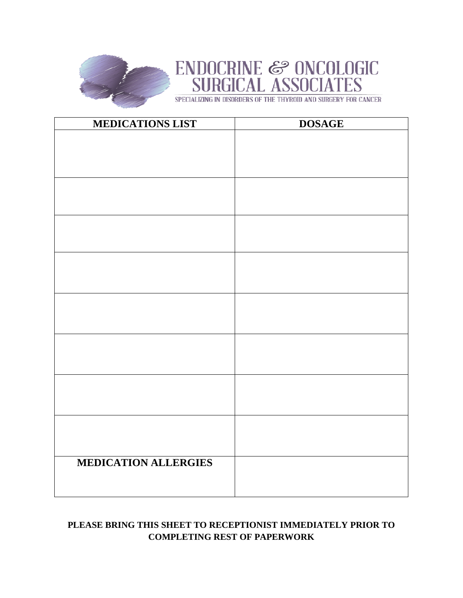

# ENDOCRINE & ONCOLOGIC<br>SURGICAL ASSOCIATES

SPECIALIZING IN DISORDERS OF THE THYROID AND SURGERY FOR CANCER

| <b>MEDICATIONS LIST</b>     | <b>DOSAGE</b> |
|-----------------------------|---------------|
|                             |               |
|                             |               |
|                             |               |
|                             |               |
|                             |               |
|                             |               |
|                             |               |
|                             |               |
|                             |               |
|                             |               |
|                             |               |
|                             |               |
|                             |               |
|                             |               |
|                             |               |
|                             |               |
|                             |               |
|                             |               |
|                             |               |
|                             |               |
|                             |               |
|                             |               |
| <b>MEDICATION ALLERGIES</b> |               |
|                             |               |
|                             |               |

# **PLEASE BRING THIS SHEET TO RECEPTIONIST IMMEDIATELY PRIOR TO COMPLETING REST OF PAPERWORK**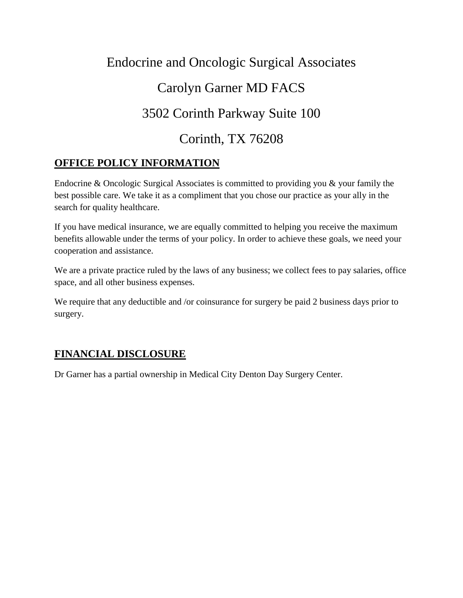# Endocrine and Oncologic Surgical Associates Carolyn Garner MD FACS 3502 Corinth Parkway Suite 100 Corinth, TX 76208

# **OFFICE POLICY INFORMATION**

Endocrine & Oncologic Surgical Associates is committed to providing you & your family the best possible care. We take it as a compliment that you chose our practice as your ally in the search for quality healthcare.

If you have medical insurance, we are equally committed to helping you receive the maximum benefits allowable under the terms of your policy. In order to achieve these goals, we need your cooperation and assistance.

We are a private practice ruled by the laws of any business; we collect fees to pay salaries, office space, and all other business expenses.

We require that any deductible and /or coinsurance for surgery be paid 2 business days prior to surgery.

# **FINANCIAL DISCLOSURE**

Dr Garner has a partial ownership in Medical City Denton Day Surgery Center.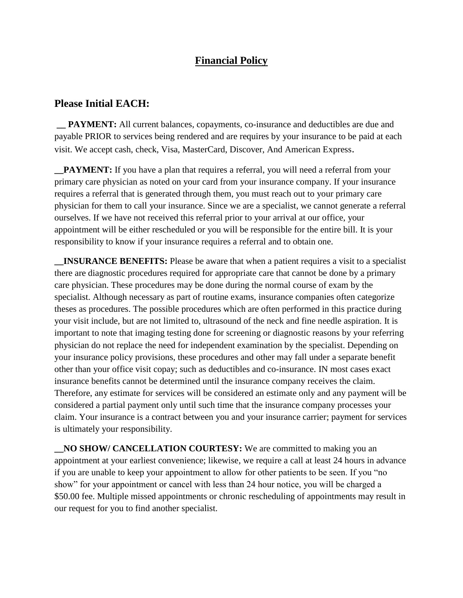# **Financial Policy**

### **Please Initial EACH:**

**\_\_ PAYMENT:** All current balances, copayments, co-insurance and deductibles are due and payable PRIOR to services being rendered and are requires by your insurance to be paid at each visit. We accept cash, check, Visa, MasterCard, Discover, And American Express.

**\_\_PAYMENT:** If you have a plan that requires a referral, you will need a referral from your primary care physician as noted on your card from your insurance company. If your insurance requires a referral that is generated through them, you must reach out to your primary care physician for them to call your insurance. Since we are a specialist, we cannot generate a referral ourselves. If we have not received this referral prior to your arrival at our office, your appointment will be either rescheduled or you will be responsible for the entire bill. It is your responsibility to know if your insurance requires a referral and to obtain one.

**\_\_INSURANCE BENEFITS:** Please be aware that when a patient requires a visit to a specialist there are diagnostic procedures required for appropriate care that cannot be done by a primary care physician. These procedures may be done during the normal course of exam by the specialist. Although necessary as part of routine exams, insurance companies often categorize theses as procedures. The possible procedures which are often performed in this practice during your visit include, but are not limited to, ultrasound of the neck and fine needle aspiration. It is important to note that imaging testing done for screening or diagnostic reasons by your referring physician do not replace the need for independent examination by the specialist. Depending on your insurance policy provisions, these procedures and other may fall under a separate benefit other than your office visit copay; such as deductibles and co-insurance. IN most cases exact insurance benefits cannot be determined until the insurance company receives the claim. Therefore, any estimate for services will be considered an estimate only and any payment will be considered a partial payment only until such time that the insurance company processes your claim. Your insurance is a contract between you and your insurance carrier; payment for services is ultimately your responsibility.

**\_\_NO SHOW/ CANCELLATION COURTESY:** We are committed to making you an appointment at your earliest convenience; likewise, we require a call at least 24 hours in advance if you are unable to keep your appointment to allow for other patients to be seen. If you "no show" for your appointment or cancel with less than 24 hour notice, you will be charged a \$50.00 fee. Multiple missed appointments or chronic rescheduling of appointments may result in our request for you to find another specialist.